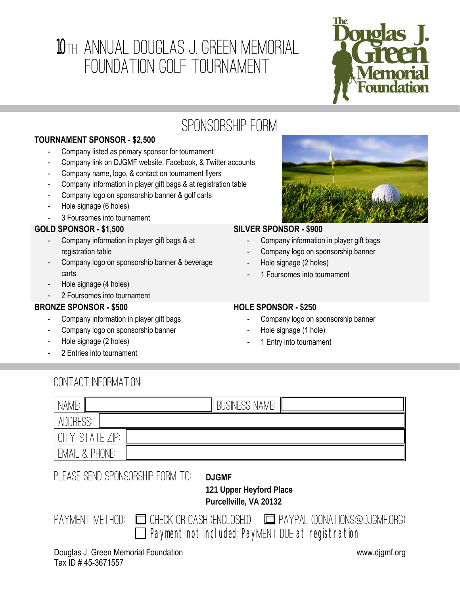# 10TH ANNUAL DOUGLAS J. GREEN MEMORIAL Foundation Golf Tournament



## Sponsorship FORM

#### **TOURNAMENT SPONSOR - \$2,500**

- Company listed as primary sponsor for tournament
- Company link on DJGMF website, Facebook, & Twitter accounts
- Company name, logo, & contact on tournament flyers
- Company information in player gift bags & at registration table
- Company logo on sponsorship banner & golf carts
- Hole signage (6 holes)
- 3 Foursomes into tournament

#### **GOLD SPONSOR - \$1,500**

- Company information in player gift bags & at registration table
- Company logo on sponsorship banner & beverage carts
- Hole signage (4 holes)
- 2 Foursomes into tournament

#### **BRONZE SPONSOR - \$500**

- Company information in player gift bags
- Company logo on sponsorship banner
- Hole signage (2 holes)
- 2 Entries into tournament



#### **SILVER SPONSOR - \$900**

- Company information in player gift bags
- Company logo on sponsorship banner
- Hole signage (2 holes)
- 1 Foursomes into tournament

#### **HOLE SPONSOR - \$250**

- Company logo on sponsorship banner
- Hole signage (1 hole)
- 1 Entry into tournament

### Contact Information:

| NAME:                                      | <b>BUSINESS NAME:</b> |
|--------------------------------------------|-----------------------|
| ADDRESS:                                   |                       |
| 7P.<br>CITY.<br>`A T<br>$\mathcal{L}$<br>⊢ |                       |
| PHONE:<br>EMAIL<br>$\lambda$               |                       |

PLEASE SEND SPONSORSHIP FORM TO: **DJGMF** 

 **121 Upper Heyford Place Purcellville, VA 20132**

|                                                          | PAYMENT METHOD: $\Box$ CHECK OR CASH (ENCLOSED) $\Box$ PAYPAL (DONATIONS@DJGMF.ORG) |
|----------------------------------------------------------|-------------------------------------------------------------------------------------|
| $\Box$ Payment not included: PayMENT DUE at registration |                                                                                     |